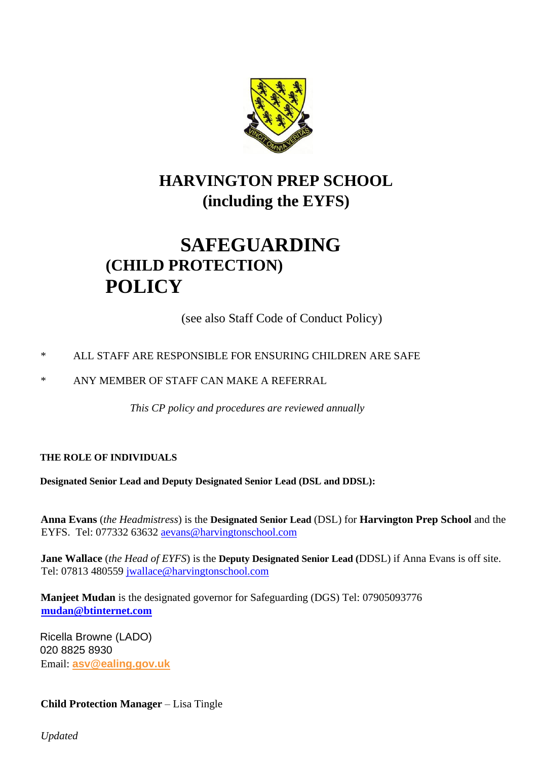

# **HARVINGTON PREP SCHOOL (including the EYFS)**

# **SAFEGUARDING (CHILD PROTECTION) POLICY**

(see also Staff Code of Conduct Policy)

# \* ALL STAFF ARE RESPONSIBLE FOR ENSURING CHILDREN ARE SAFE

\* ANY MEMBER OF STAFF CAN MAKE A REFERRAL

 *This CP policy and procedures are reviewed annually*

# **THE ROLE OF INDIVIDUALS**

**Designated Senior Lead and Deputy Designated Senior Lead (DSL and DDSL):**

**Anna Evans** (*the Headmistress*) is the **Designated Senior Lead** (DSL) for **Harvington Prep School** and the EYFS. Tel: 077332 63632 aevans@harvingtonschool.com

**Jane Wallace** (*the Head of EYFS*) is the **Deputy Designated Senior Lead (**DDSL) if Anna Evans is off site. Tel: 07813 480559 jwallace@harvingtonschool.com

**Manjeet Mudan** is the designated governor for Safeguarding (DGS) Tel: 07905093776 **mudan@btinternet.com**

Ricella Browne (LADO) 020 8825 8930 Email: **asv@ealing.gov.uk**

# **Child Protection Manager** – Lisa Tingle

*Updated*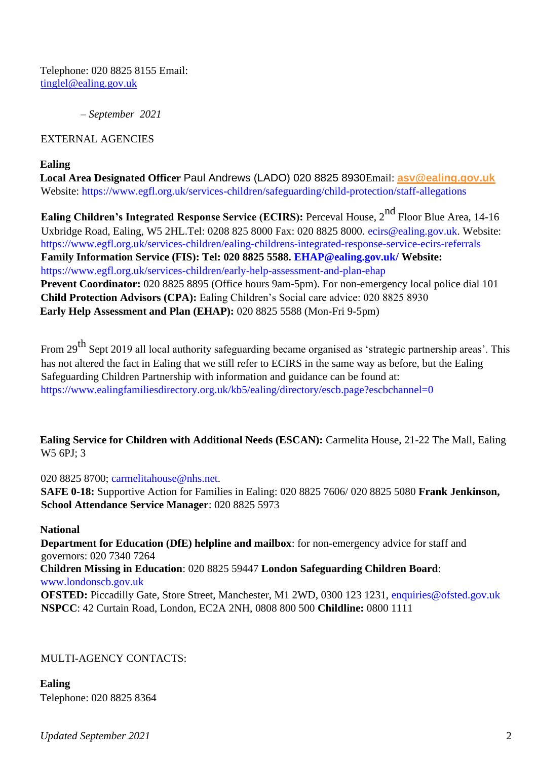Telephone: 020 8825 8155 Email: tinglel@ealing.gov.uk

*– September 2021* 

## EXTERNAL AGENCIES

#### **Ealing**

**Local Area Designated Officer** Paul Andrews (LADO) 020 8825 8930Email: **asv@ealing.gov.uk** Website: https://www.egfl.org.uk/services-children/safeguarding/child-protection/staff-allegations

**Ealing Children's Integrated Response Service (ECIRS): Perceval House, 2<sup>nd</sup> Floor Blue Area, 14-16** Uxbridge Road, Ealing, W5 2HL.Tel: 0208 825 8000 Fax: 020 8825 8000. ecirs@ealing.gov.uk. Website: https://www.egfl.org.uk/services-children/ealing-childrens-integrated-response-service-ecirs-referrals **Family Information Service (FIS): Tel: 020 8825 5588. EHAP@ealing.gov.uk/ Website:**  https://www.egfl.org.uk/services-children/early-help-assessment-and-plan-ehap **Prevent Coordinator:** 020 8825 8895 (Office hours 9am-5pm). For non-emergency local police dial 101 **Child Protection Advisors (CPA):** Ealing Children's Social care advice: 020 8825 8930 **Early Help Assessment and Plan (EHAP):** 020 8825 5588 (Mon-Fri 9-5pm)

From 29<sup>th</sup> Sept 2019 all local authority safeguarding became organised as 'strategic partnership areas'. This has not altered the fact in Ealing that we still refer to ECIRS in the same way as before, but the Ealing Safeguarding Children Partnership with information and guidance can be found at: https://www.ealingfamiliesdirectory.org.uk/kb5/ealing/directory/escb.page?escbchannel=0

**Ealing Service for Children with Additional Needs (ESCAN):** Carmelita House, 21-22 The Mall, Ealing W5 6PJ; 3

## 020 8825 8700; carmelitahouse@nhs.net.

**SAFE 0-18:** Supportive Action for Families in Ealing: 020 8825 7606/ 020 8825 5080 **Frank Jenkinson, School Attendance Service Manager**: 020 8825 5973

## **National**

**Department for Education (DfE) helpline and mailbox**: for non-emergency advice for staff and governors: 020 7340 7264 **Children Missing in Education**: 020 8825 59447 **London Safeguarding Children Board**: www.londonscb.gov.uk **OFSTED:** Piccadilly Gate, Store Street, Manchester, M1 2WD, 0300 123 1231, enquiries@ofsted.gov.uk **NSPCC**: 42 Curtain Road, London, EC2A 2NH, 0808 800 500 **Childline:** 0800 1111

## MULTI-AGENCY CONTACTS:

**Ealing**  Telephone: 020 8825 8364

*Updated September 2021* 2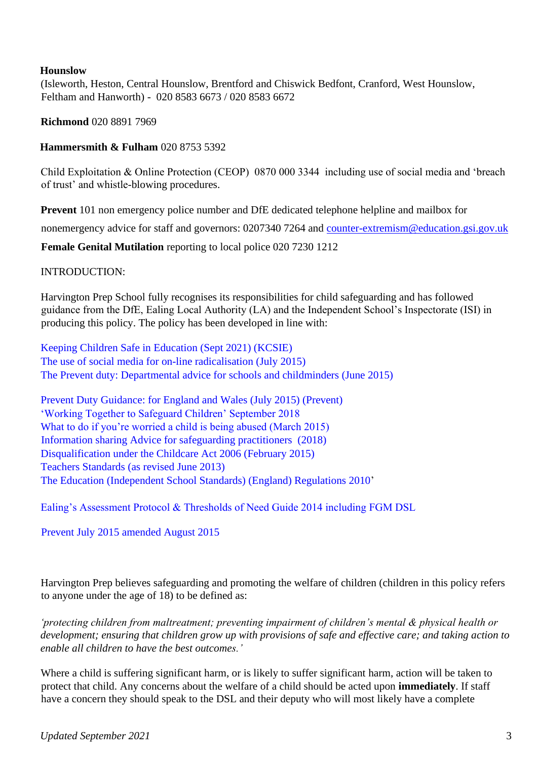#### **Hounslow**

(Isleworth, Heston, Central Hounslow, Brentford and Chiswick Bedfont, Cranford, West Hounslow, Feltham and Hanworth) - 020 8583 6673 / 020 8583 6672

**Richmond** 020 8891 7969

#### **Hammersmith & Fulham** 020 8753 5392

Child Exploitation & Online Protection (CEOP) 0870 000 3344 including use of social media and 'breach of trust' and whistle-blowing procedures.

**Prevent** 101 non emergency police number and DfE dedicated telephone helpline and mailbox for

nonemergency advice for staff and governors: 0207340 7264 and counter-extremism@education.gsi.gov.uk

**Female Genital Mutilation** reporting to local police 020 7230 1212

#### INTRODUCTION:

Harvington Prep School fully recognises its responsibilities for child safeguarding and has followed guidance from the DfE, Ealing Local Authority (LA) and the Independent School's Inspectorate (ISI) in producing this policy. The policy has been developed in line with:

Keeping Children Safe in Education (Sept 2021) (KCSIE) The use of social media for on-line radicalisation (July 2015) The Prevent duty: Departmental advice for schools and childminders (June 2015)

Prevent Duty Guidance: for England and Wales (July 2015) (Prevent) 'Working Together to Safeguard Children' September 2018 What to do if you're worried a child is being abused (March 2015) Information sharing Advice for safeguarding practitioners (2018) Disqualification under the Childcare Act 2006 (February 2015) Teachers Standards (as revised June 2013) The Education (Independent School Standards) (England) Regulations 2010'

Ealing's Assessment Protocol & Thresholds of Need Guide 2014 including FGM DSL

Prevent July 2015 amended August 2015

Harvington Prep believes safeguarding and promoting the welfare of children (children in this policy refers to anyone under the age of 18) to be defined as:

*'protecting children from maltreatment; preventing impairment of children's mental & physical health or development; ensuring that children grow up with provisions of safe and effective care; and taking action to enable all children to have the best outcomes.'* 

Where a child is suffering significant harm, or is likely to suffer significant harm, action will be taken to protect that child. Any concerns about the welfare of a child should be acted upon **immediately**. If staff have a concern they should speak to the DSL and their deputy who will most likely have a complete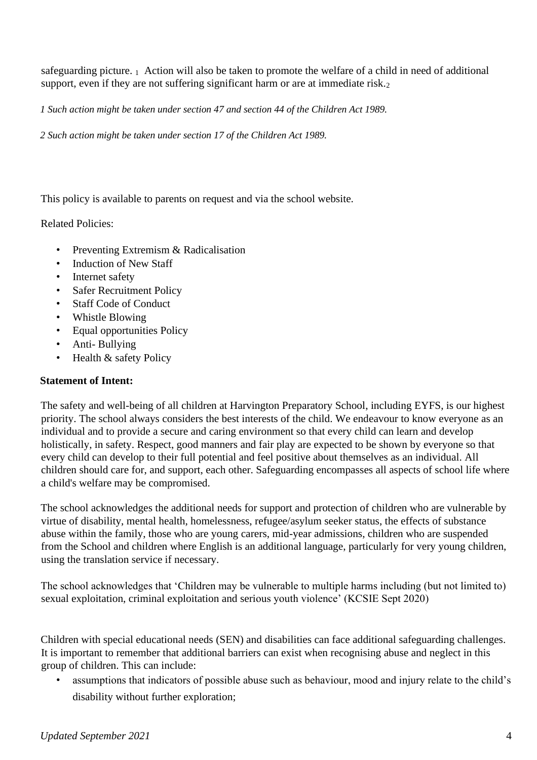safeguarding picture.  $_1$  Action will also be taken to promote the welfare of a child in need of additional support, even if they are not suffering significant harm or are at immediate risk.<sub>2</sub>

*1 Such action might be taken under section 47 and section 44 of the Children Act 1989.* 

*2 Such action might be taken under section 17 of the Children Act 1989.* 

This policy is available to parents on request and via the school website.

Related Policies:

- Preventing Extremism & Radicalisation
- Induction of New Staff
- Internet safety
- Safer Recruitment Policy
- Staff Code of Conduct
- Whistle Blowing
- Equal opportunities Policy
- Anti- Bullying
- Health & safety Policy

# **Statement of Intent:**

The safety and well-being of all children at Harvington Preparatory School, including EYFS, is our highest priority. The school always considers the best interests of the child. We endeavour to know everyone as an individual and to provide a secure and caring environment so that every child can learn and develop holistically, in safety. Respect, good manners and fair play are expected to be shown by everyone so that every child can develop to their full potential and feel positive about themselves as an individual. All children should care for, and support, each other. Safeguarding encompasses all aspects of school life where a child's welfare may be compromised.

The school acknowledges the additional needs for support and protection of children who are vulnerable by virtue of disability, mental health, homelessness, refugee/asylum seeker status, the effects of substance abuse within the family, those who are young carers, mid-year admissions, children who are suspended from the School and children where English is an additional language, particularly for very young children, using the translation service if necessary.

The school acknowledges that 'Children may be vulnerable to multiple harms including (but not limited to) sexual exploitation, criminal exploitation and serious youth violence' (KCSIE Sept 2020)

Children with special educational needs (SEN) and disabilities can face additional safeguarding challenges. It is important to remember that additional barriers can exist when recognising abuse and neglect in this group of children. This can include:

• assumptions that indicators of possible abuse such as behaviour, mood and injury relate to the child's disability without further exploration;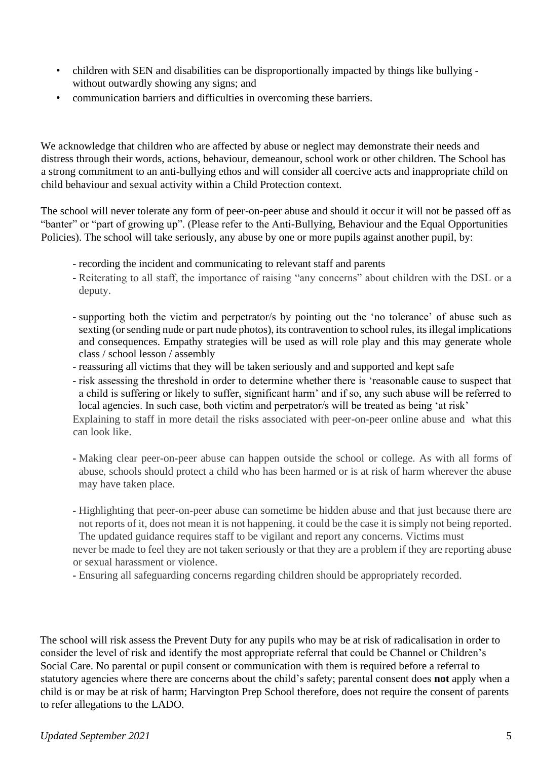- children with SEN and disabilities can be disproportionally impacted by things like bullying without outwardly showing any signs; and
- communication barriers and difficulties in overcoming these barriers.

We acknowledge that children who are affected by abuse or neglect may demonstrate their needs and distress through their words, actions, behaviour, demeanour, school work or other children. The School has a strong commitment to an anti-bullying ethos and will consider all coercive acts and inappropriate child on child behaviour and sexual activity within a Child Protection context.

The school will never tolerate any form of peer-on-peer abuse and should it occur it will not be passed off as "banter" or "part of growing up". (Please refer to the Anti-Bullying, Behaviour and the Equal Opportunities Policies). The school will take seriously, any abuse by one or more pupils against another pupil, by:

- recording the incident and communicating to relevant staff and parents
- Reiterating to all staff, the importance of raising "any concerns" about children with the DSL or a deputy.
- supporting both the victim and perpetrator/s by pointing out the 'no tolerance' of abuse such as sexting (or sending nude or part nude photos), its contravention to school rules, its illegal implications and consequences. Empathy strategies will be used as will role play and this may generate whole class / school lesson / assembly
- reassuring all victims that they will be taken seriously and and supported and kept safe
- risk assessing the threshold in order to determine whether there is 'reasonable cause to suspect that a child is suffering or likely to suffer, significant harm' and if so, any such abuse will be referred to local agencies. In such case, both victim and perpetrator/s will be treated as being 'at risk'

Explaining to staff in more detail the risks associated with peer-on-peer online abuse and what this can look like.

- Making clear peer-on-peer abuse can happen outside the school or college. As with all forms of abuse, schools should protect a child who has been harmed or is at risk of harm wherever the abuse may have taken place.
- Highlighting that peer-on-peer abuse can sometime be hidden abuse and that just because there are not reports of it, does not mean it is not happening. it could be the case it is simply not being reported. The updated guidance requires staff to be vigilant and report any concerns. Victims must

never be made to feel they are not taken seriously or that they are a problem if they are reporting abuse or sexual harassment or violence.

- Ensuring all safeguarding concerns regarding children should be appropriately recorded.

The school will risk assess the Prevent Duty for any pupils who may be at risk of radicalisation in order to consider the level of risk and identify the most appropriate referral that could be Channel or Children's Social Care. No parental or pupil consent or communication with them is required before a referral to statutory agencies where there are concerns about the child's safety; parental consent does **not** apply when a child is or may be at risk of harm; Harvington Prep School therefore, does not require the consent of parents to refer allegations to the LADO.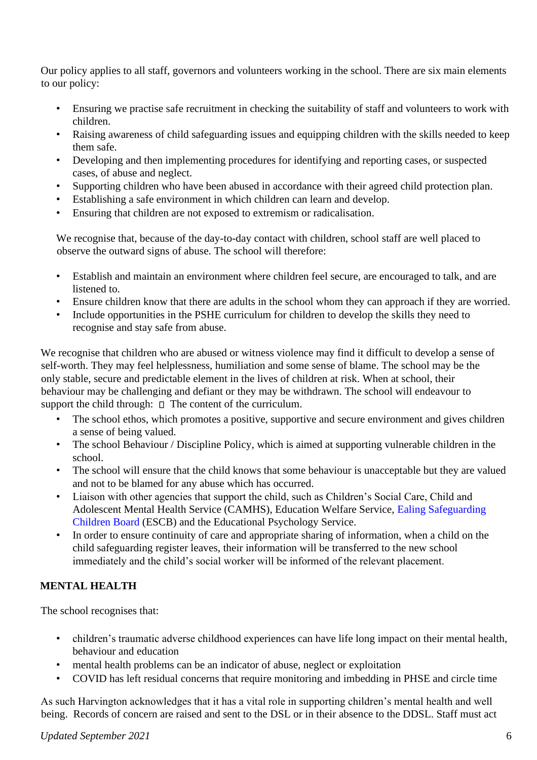Our policy applies to all staff, governors and volunteers working in the school. There are six main elements to our policy:

- Ensuring we practise safe recruitment in checking the suitability of staff and volunteers to work with children.
- Raising awareness of child safeguarding issues and equipping children with the skills needed to keep them safe.
- Developing and then implementing procedures for identifying and reporting cases, or suspected cases, of abuse and neglect.
- Supporting children who have been abused in accordance with their agreed child protection plan.
- Establishing a safe environment in which children can learn and develop.
- Ensuring that children are not exposed to extremism or radicalisation.

We recognise that, because of the day-to-day contact with children, school staff are well placed to observe the outward signs of abuse. The school will therefore:

- Establish and maintain an environment where children feel secure, are encouraged to talk, and are listened to.
- Ensure children know that there are adults in the school whom they can approach if they are worried.
- Include opportunities in the PSHE curriculum for children to develop the skills they need to recognise and stay safe from abuse.

We recognise that children who are abused or witness violence may find it difficult to develop a sense of self-worth. They may feel helplessness, humiliation and some sense of blame. The school may be the only stable, secure and predictable element in the lives of children at risk. When at school, their behaviour may be challenging and defiant or they may be withdrawn. The school will endeavour to support the child through:  $\Box$  The content of the curriculum.

- The school ethos, which promotes a positive, supportive and secure environment and gives children a sense of being valued.
- The school Behaviour / Discipline Policy, which is aimed at supporting vulnerable children in the school.
- The school will ensure that the child knows that some behaviour is unacceptable but they are valued and not to be blamed for any abuse which has occurred.
- Liaison with other agencies that support the child, such as Children's Social Care, Child and Adolescent Mental Health Service (CAMHS), Education Welfare Service, Ealing Safeguarding Children Board (ESCB) and the Educational Psychology Service.
- In order to ensure continuity of care and appropriate sharing of information, when a child on the child safeguarding register leaves, their information will be transferred to the new school immediately and the child's social worker will be informed of the relevant placement.

# **MENTAL HEALTH**

The school recognises that:

- children's traumatic adverse childhood experiences can have life long impact on their mental health, behaviour and education
- mental health problems can be an indicator of abuse, neglect or exploitation
- COVID has left residual concerns that require monitoring and imbedding in PHSE and circle time

As such Harvington acknowledges that it has a vital role in supporting children's mental health and well being. Records of concern are raised and sent to the DSL or in their absence to the DDSL. Staff must act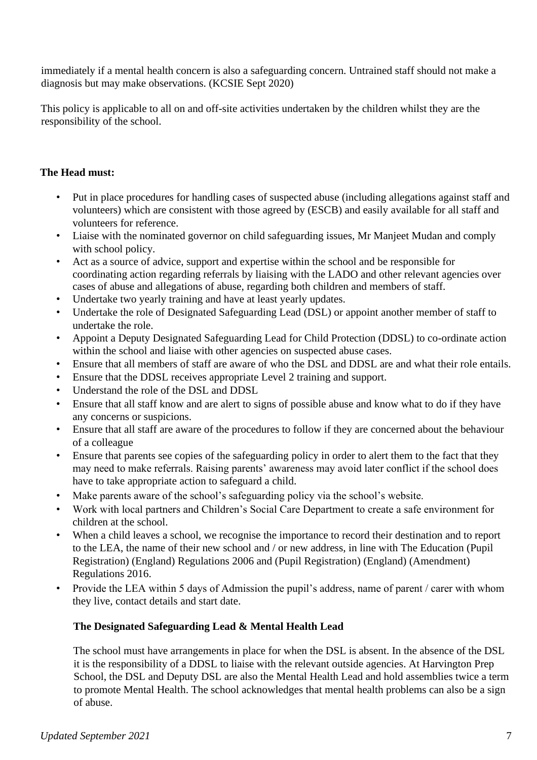immediately if a mental health concern is also a safeguarding concern. Untrained staff should not make a diagnosis but may make observations. (KCSIE Sept 2020)

This policy is applicable to all on and off-site activities undertaken by the children whilst they are the responsibility of the school.

## **The Head must:**

- Put in place procedures for handling cases of suspected abuse (including allegations against staff and volunteers) which are consistent with those agreed by (ESCB) and easily available for all staff and volunteers for reference.
- Liaise with the nominated governor on child safeguarding issues, Mr Manjeet Mudan and comply with school policy.
- Act as a source of advice, support and expertise within the school and be responsible for coordinating action regarding referrals by liaising with the LADO and other relevant agencies over cases of abuse and allegations of abuse, regarding both children and members of staff.
- Undertake two yearly training and have at least yearly updates.
- Undertake the role of Designated Safeguarding Lead (DSL) or appoint another member of staff to undertake the role.
- Appoint a Deputy Designated Safeguarding Lead for Child Protection (DDSL) to co-ordinate action within the school and liaise with other agencies on suspected abuse cases.
- Ensure that all members of staff are aware of who the DSL and DDSL are and what their role entails.
- Ensure that the DDSL receives appropriate Level 2 training and support.
- Understand the role of the DSL and DDSL
- Ensure that all staff know and are alert to signs of possible abuse and know what to do if they have any concerns or suspicions.
- Ensure that all staff are aware of the procedures to follow if they are concerned about the behaviour of a colleague
- Ensure that parents see copies of the safeguarding policy in order to alert them to the fact that they may need to make referrals. Raising parents' awareness may avoid later conflict if the school does have to take appropriate action to safeguard a child.
- Make parents aware of the school's safeguarding policy via the school's website.
- Work with local partners and Children's Social Care Department to create a safe environment for children at the school.
- When a child leaves a school, we recognise the importance to record their destination and to report to the LEA, the name of their new school and / or new address, in line with The Education (Pupil Registration) (England) Regulations 2006 and (Pupil Registration) (England) (Amendment) Regulations 2016.
- Provide the LEA within 5 days of Admission the pupil's address, name of parent / carer with whom they live, contact details and start date.

# **The Designated Safeguarding Lead & Mental Health Lead**

The school must have arrangements in place for when the DSL is absent. In the absence of the DSL it is the responsibility of a DDSL to liaise with the relevant outside agencies. At Harvington Prep School, the DSL and Deputy DSL are also the Mental Health Lead and hold assemblies twice a term to promote Mental Health. The school acknowledges that mental health problems can also be a sign of abuse.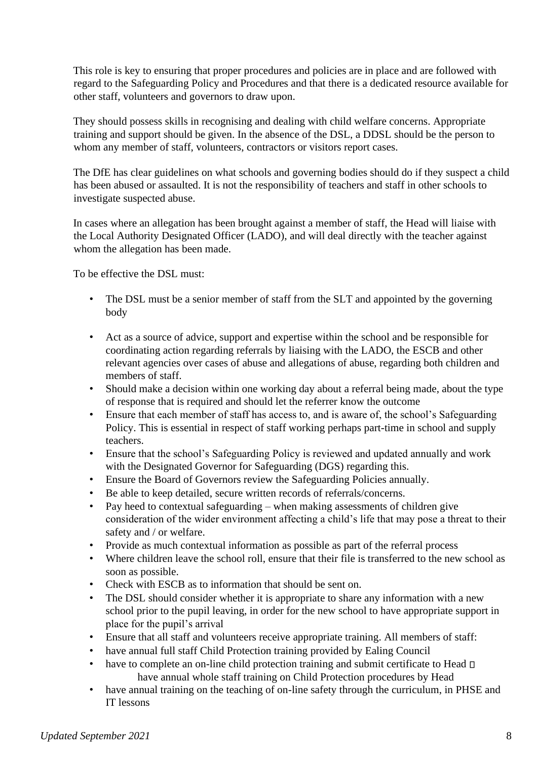This role is key to ensuring that proper procedures and policies are in place and are followed with regard to the Safeguarding Policy and Procedures and that there is a dedicated resource available for other staff, volunteers and governors to draw upon.

They should possess skills in recognising and dealing with child welfare concerns. Appropriate training and support should be given. In the absence of the DSL, a DDSL should be the person to whom any member of staff, volunteers, contractors or visitors report cases.

The DfE has clear guidelines on what schools and governing bodies should do if they suspect a child has been abused or assaulted. It is not the responsibility of teachers and staff in other schools to investigate suspected abuse.

In cases where an allegation has been brought against a member of staff, the Head will liaise with the Local Authority Designated Officer (LADO), and will deal directly with the teacher against whom the allegation has been made.

To be effective the DSL must:

- The DSL must be a senior member of staff from the SLT and appointed by the governing body
- Act as a source of advice, support and expertise within the school and be responsible for coordinating action regarding referrals by liaising with the LADO, the ESCB and other relevant agencies over cases of abuse and allegations of abuse, regarding both children and members of staff.
- Should make a decision within one working day about a referral being made, about the type of response that is required and should let the referrer know the outcome
- Ensure that each member of staff has access to, and is aware of, the school's Safeguarding Policy. This is essential in respect of staff working perhaps part-time in school and supply teachers.
- Ensure that the school's Safeguarding Policy is reviewed and updated annually and work with the Designated Governor for Safeguarding (DGS) regarding this.
- Ensure the Board of Governors review the Safeguarding Policies annually.
- Be able to keep detailed, secure written records of referrals/concerns.
- Pay heed to contextual safeguarding when making assessments of children give consideration of the wider environment affecting a child's life that may pose a threat to their safety and / or welfare.
- Provide as much contextual information as possible as part of the referral process
- Where children leave the school roll, ensure that their file is transferred to the new school as soon as possible.
- Check with ESCB as to information that should be sent on.
- The DSL should consider whether it is appropriate to share any information with a new school prior to the pupil leaving, in order for the new school to have appropriate support in place for the pupil's arrival
- Ensure that all staff and volunteers receive appropriate training. All members of staff:
- have annual full staff Child Protection training provided by Ealing Council
- have to complete an on-line child protection training and submit certificate to Head  $\square$ have annual whole staff training on Child Protection procedures by Head
- have annual training on the teaching of on-line safety through the curriculum, in PHSE and IT lessons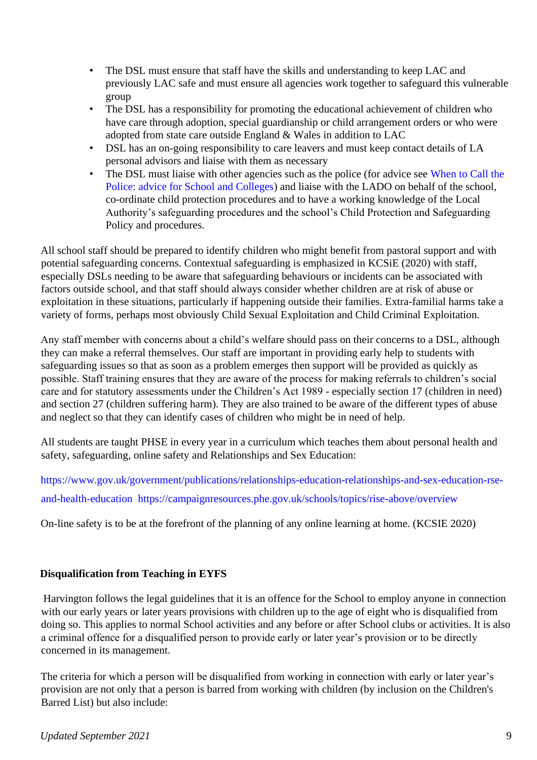- The DSL must ensure that staff have the skills and understanding to keep LAC and previously LAC safe and must ensure all agencies work together to safeguard this vulnerable group
- The DSL has a responsibility for promoting the educational achievement of children who have care through adoption, special guardianship or child arrangement orders or who were adopted from state care outside England & Wales in addition to LAC
- DSL has an on-going responsibility to care leavers and must keep contact details of LA personal advisors and liaise with them as necessary
- The DSL must liaise with other agencies such as the police (for advice see When to Call the Police: advice for School and Colleges) and liaise with the LADO on behalf of the school, co-ordinate child protection procedures and to have a working knowledge of the Local Authority's safeguarding procedures and the school's Child Protection and Safeguarding Policy and procedures.

All school staff should be prepared to identify children who might benefit from pastoral support and with potential safeguarding concerns. Contextual safeguarding is emphasized in KCSiE (2020) with staff, especially DSLs needing to be aware that safeguarding behaviours or incidents can be associated with factors outside school, and that staff should always consider whether children are at risk of abuse or exploitation in these situations, particularly if happening outside their families. Extra-familial harms take a variety of forms, perhaps most obviously Child Sexual Exploitation and Child Criminal Exploitation.

Any staff member with concerns about a child's welfare should pass on their concerns to a DSL, although they can make a referral themselves. Our staff are important in providing early help to students with safeguarding issues so that as soon as a problem emerges then support will be provided as quickly as possible. Staff training ensures that they are aware of the process for making referrals to children's social care and for statutory assessments under the Children's Act 1989 - especially section 17 (children in need) and section 27 (children suffering harm). They are also trained to be aware of the different types of abuse and neglect so that they can identify cases of children who might be in need of help.

All students are taught PHSE in every year in a curriculum which teaches them about personal health and safety, safeguarding, online safety and Relationships and Sex Education:

https://www.gov.uk/government/publications/relationships-education-relationships-and-sex-education-rseand-health-education https://campaignresources.phe.gov.uk/schools/topics/rise-above/overview

On-line safety is to be at the forefront of the planning of any online learning at home. (KCSIE 2020)

# **Disqualification from Teaching in EYFS**

Harvington follows the legal guidelines that it is an offence for the School to employ anyone in connection with our early years or later years provisions with children up to the age of eight who is disqualified from doing so. This applies to normal School activities and any before or after School clubs or activities. It is also a criminal offence for a disqualified person to provide early or later year's provision or to be directly concerned in its management.

The criteria for which a person will be disqualified from working in connection with early or later year's provision are not only that a person is barred from working with children (by inclusion on the Children's Barred List) but also include: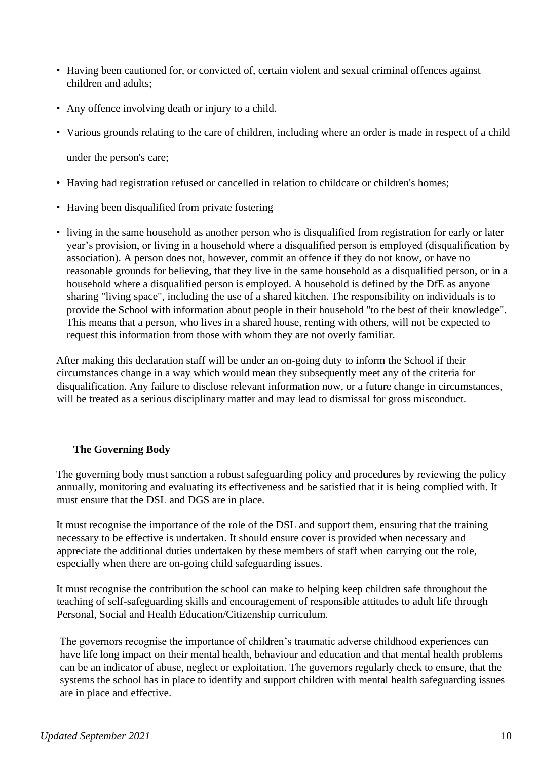- Having been cautioned for, or convicted of, certain violent and sexual criminal offences against children and adults;
- Any offence involving death or injury to a child.
- Various grounds relating to the care of children, including where an order is made in respect of a child

under the person's care;

- Having had registration refused or cancelled in relation to childcare or children's homes;
- Having been disqualified from private fostering
- living in the same household as another person who is disqualified from registration for early or later year's provision, or living in a household where a disqualified person is employed (disqualification by association). A person does not, however, commit an offence if they do not know, or have no reasonable grounds for believing, that they live in the same household as a disqualified person, or in a household where a disqualified person is employed. A household is defined by the DfE as anyone sharing "living space", including the use of a shared kitchen. The responsibility on individuals is to provide the School with information about people in their household "to the best of their knowledge". This means that a person, who lives in a shared house, renting with others, will not be expected to request this information from those with whom they are not overly familiar.

After making this declaration staff will be under an on-going duty to inform the School if their circumstances change in a way which would mean they subsequently meet any of the criteria for disqualification. Any failure to disclose relevant information now, or a future change in circumstances, will be treated as a serious disciplinary matter and may lead to dismissal for gross misconduct.

## **The Governing Body**

The governing body must sanction a robust safeguarding policy and procedures by reviewing the policy annually, monitoring and evaluating its effectiveness and be satisfied that it is being complied with. It must ensure that the DSL and DGS are in place.

It must recognise the importance of the role of the DSL and support them, ensuring that the training necessary to be effective is undertaken. It should ensure cover is provided when necessary and appreciate the additional duties undertaken by these members of staff when carrying out the role, especially when there are on-going child safeguarding issues.

It must recognise the contribution the school can make to helping keep children safe throughout the teaching of self-safeguarding skills and encouragement of responsible attitudes to adult life through Personal, Social and Health Education/Citizenship curriculum.

 The governors recognise the importance of children's traumatic adverse childhood experiences can have life long impact on their mental health, behaviour and education and that mental health problems can be an indicator of abuse, neglect or exploitation. The governors regularly check to ensure, that the systems the school has in place to identify and support children with mental health safeguarding issues are in place and effective.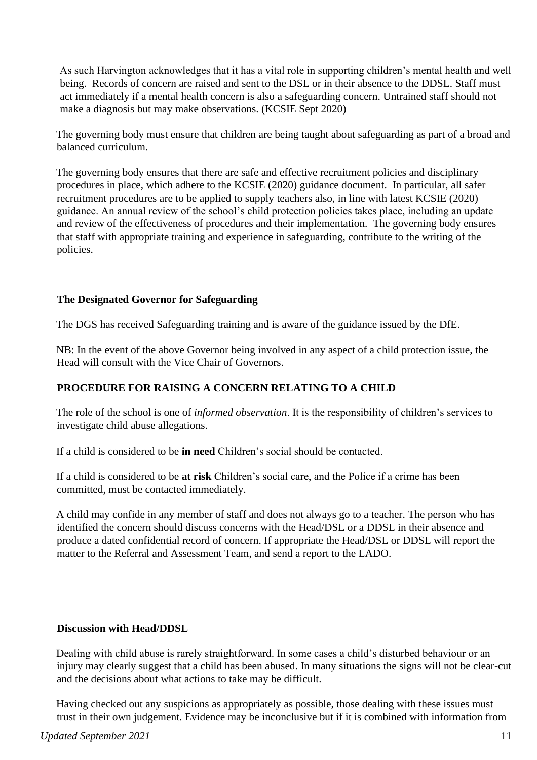As such Harvington acknowledges that it has a vital role in supporting children's mental health and well being. Records of concern are raised and sent to the DSL or in their absence to the DDSL. Staff must act immediately if a mental health concern is also a safeguarding concern. Untrained staff should not make a diagnosis but may make observations. (KCSIE Sept 2020)

The governing body must ensure that children are being taught about safeguarding as part of a broad and balanced curriculum.

The governing body ensures that there are safe and effective recruitment policies and disciplinary procedures in place, which adhere to the KCSIE (2020) guidance document. In particular, all safer recruitment procedures are to be applied to supply teachers also, in line with latest KCSIE (2020) guidance. An annual review of the school's child protection policies takes place, including an update and review of the effectiveness of procedures and their implementation. The governing body ensures that staff with appropriate training and experience in safeguarding, contribute to the writing of the policies.

## **The Designated Governor for Safeguarding**

The DGS has received Safeguarding training and is aware of the guidance issued by the DfE.

NB: In the event of the above Governor being involved in any aspect of a child protection issue, the Head will consult with the Vice Chair of Governors.

## **PROCEDURE FOR RAISING A CONCERN RELATING TO A CHILD**

The role of the school is one of *informed observation*. It is the responsibility of children's services to investigate child abuse allegations.

If a child is considered to be **in need** Children's social should be contacted.

If a child is considered to be **at risk** Children's social care, and the Police if a crime has been committed, must be contacted immediately.

A child may confide in any member of staff and does not always go to a teacher. The person who has identified the concern should discuss concerns with the Head/DSL or a DDSL in their absence and produce a dated confidential record of concern. If appropriate the Head/DSL or DDSL will report the matter to the Referral and Assessment Team, and send a report to the LADO.

#### **Discussion with Head/DDSL**

Dealing with child abuse is rarely straightforward. In some cases a child's disturbed behaviour or an injury may clearly suggest that a child has been abused. In many situations the signs will not be clear-cut and the decisions about what actions to take may be difficult.

Having checked out any suspicions as appropriately as possible, those dealing with these issues must trust in their own judgement. Evidence may be inconclusive but if it is combined with information from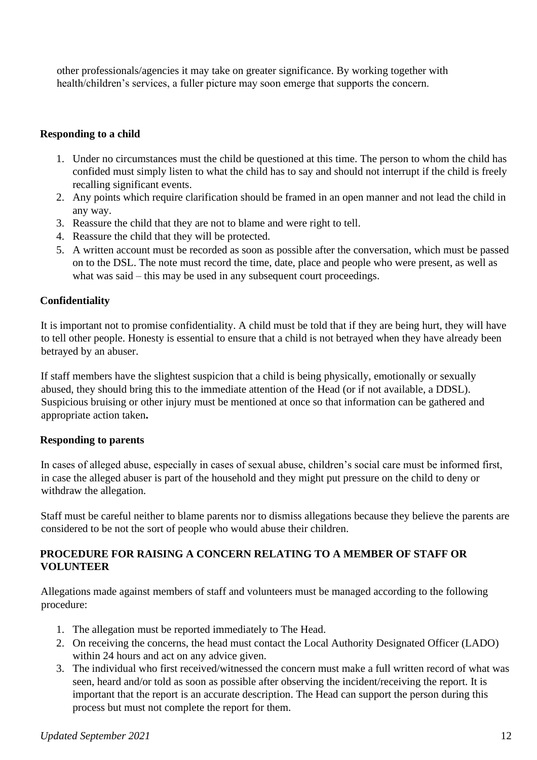other professionals/agencies it may take on greater significance. By working together with health/children's services, a fuller picture may soon emerge that supports the concern.

## **Responding to a child**

- 1. Under no circumstances must the child be questioned at this time. The person to whom the child has confided must simply listen to what the child has to say and should not interrupt if the child is freely recalling significant events.
- 2. Any points which require clarification should be framed in an open manner and not lead the child in any way.
- 3. Reassure the child that they are not to blame and were right to tell.
- 4. Reassure the child that they will be protected.
- 5. A written account must be recorded as soon as possible after the conversation, which must be passed on to the DSL. The note must record the time, date, place and people who were present, as well as what was said – this may be used in any subsequent court proceedings.

# **Confidentiality**

It is important not to promise confidentiality. A child must be told that if they are being hurt, they will have to tell other people. Honesty is essential to ensure that a child is not betrayed when they have already been betrayed by an abuser.

If staff members have the slightest suspicion that a child is being physically, emotionally or sexually abused, they should bring this to the immediate attention of the Head (or if not available, a DDSL). Suspicious bruising or other injury must be mentioned at once so that information can be gathered and appropriate action taken**.** 

## **Responding to parents**

In cases of alleged abuse, especially in cases of sexual abuse, children's social care must be informed first, in case the alleged abuser is part of the household and they might put pressure on the child to deny or withdraw the allegation.

Staff must be careful neither to blame parents nor to dismiss allegations because they believe the parents are considered to be not the sort of people who would abuse their children.

## **PROCEDURE FOR RAISING A CONCERN RELATING TO A MEMBER OF STAFF OR VOLUNTEER**

Allegations made against members of staff and volunteers must be managed according to the following procedure:

- 1. The allegation must be reported immediately to The Head.
- 2. On receiving the concerns, the head must contact the Local Authority Designated Officer (LADO) within 24 hours and act on any advice given.
- 3. The individual who first received/witnessed the concern must make a full written record of what was seen, heard and/or told as soon as possible after observing the incident/receiving the report. It is important that the report is an accurate description. The Head can support the person during this process but must not complete the report for them.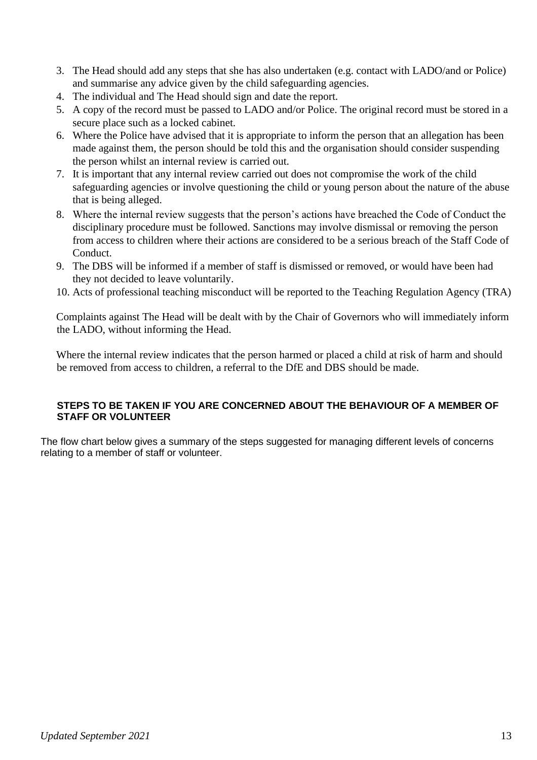- 3. The Head should add any steps that she has also undertaken (e.g. contact with LADO/and or Police) and summarise any advice given by the child safeguarding agencies.
- 4. The individual and The Head should sign and date the report.
- 5. A copy of the record must be passed to LADO and/or Police. The original record must be stored in a secure place such as a locked cabinet.
- 6. Where the Police have advised that it is appropriate to inform the person that an allegation has been made against them, the person should be told this and the organisation should consider suspending the person whilst an internal review is carried out.
- 7. It is important that any internal review carried out does not compromise the work of the child safeguarding agencies or involve questioning the child or young person about the nature of the abuse that is being alleged.
- 8. Where the internal review suggests that the person's actions have breached the Code of Conduct the disciplinary procedure must be followed. Sanctions may involve dismissal or removing the person from access to children where their actions are considered to be a serious breach of the Staff Code of Conduct.
- 9. The DBS will be informed if a member of staff is dismissed or removed, or would have been had they not decided to leave voluntarily.
- 10. Acts of professional teaching misconduct will be reported to the Teaching Regulation Agency (TRA)

Complaints against The Head will be dealt with by the Chair of Governors who will immediately inform the LADO, without informing the Head.

Where the internal review indicates that the person harmed or placed a child at risk of harm and should be removed from access to children, a referral to the DfE and DBS should be made.

## **STEPS TO BE TAKEN IF YOU ARE CONCERNED ABOUT THE BEHAVIOUR OF A MEMBER OF STAFF OR VOLUNTEER**

The flow chart below gives a summary of the steps suggested for managing different levels of concerns relating to a member of staff or volunteer.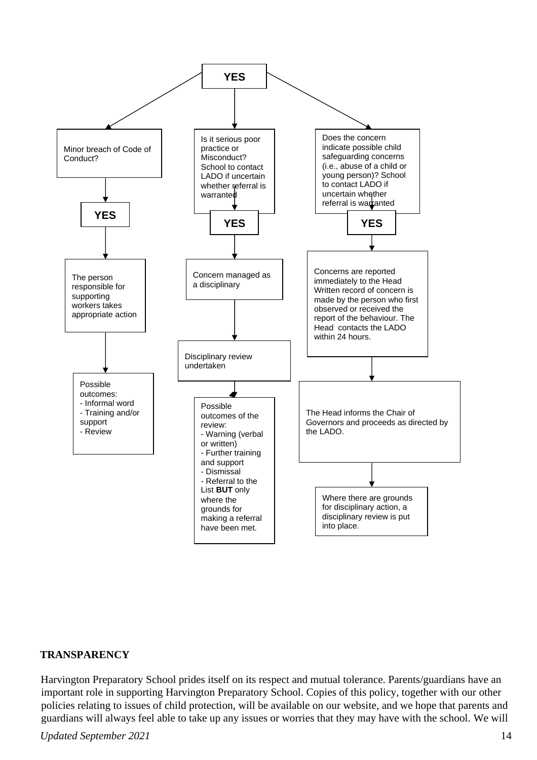

#### **TRANSPARENCY**

Harvington Preparatory School prides itself on its respect and mutual tolerance. Parents/guardians have an important role in supporting Harvington Preparatory School. Copies of this policy, together with our other policies relating to issues of child protection, will be available on our website, and we hope that parents and guardians will always feel able to take up any issues or worries that they may have with the school. We will

## *Updated September 2021* 14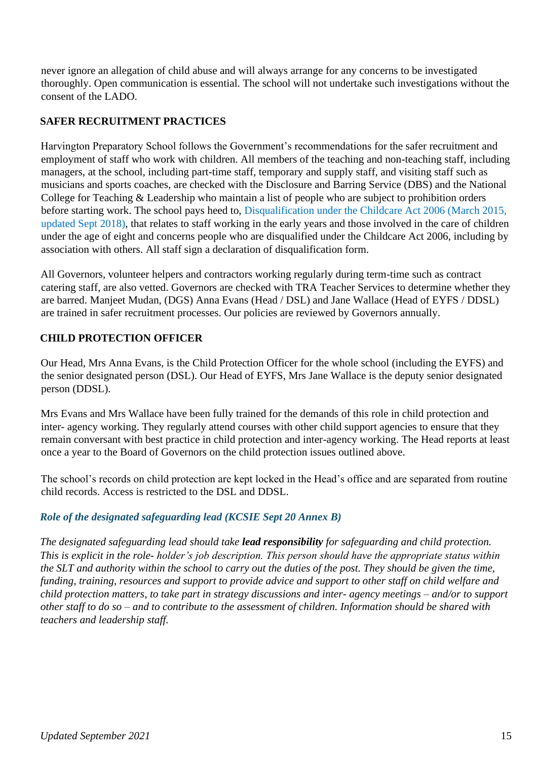never ignore an allegation of child abuse and will always arrange for any concerns to be investigated thoroughly. Open communication is essential. The school will not undertake such investigations without the consent of the LADO.

# **SAFER RECRUITMENT PRACTICES**

Harvington Preparatory School follows the Government's recommendations for the safer recruitment and employment of staff who work with children. All members of the teaching and non-teaching staff, including managers, at the school, including part-time staff, temporary and supply staff, and visiting staff such as musicians and sports coaches, are checked with the Disclosure and Barring Service (DBS) and the National College for Teaching & Leadership who maintain a list of people who are subject to prohibition orders before starting work. The school pays heed to, Disqualification under the Childcare Act 2006 (March 2015, updated Sept 2018), that relates to staff working in the early years and those involved in the care of children under the age of eight and concerns people who are disqualified under the Childcare Act 2006, including by association with others. All staff sign a declaration of disqualification form.

All Governors, volunteer helpers and contractors working regularly during term-time such as contract catering staff, are also vetted. Governors are checked with TRA Teacher Services to determine whether they are barred. Manjeet Mudan, (DGS) Anna Evans (Head / DSL) and Jane Wallace (Head of EYFS / DDSL) are trained in safer recruitment processes. Our policies are reviewed by Governors annually.

# **CHILD PROTECTION OFFICER**

Our Head, Mrs Anna Evans, is the Child Protection Officer for the whole school (including the EYFS) and the senior designated person (DSL). Our Head of EYFS, Mrs Jane Wallace is the deputy senior designated person (DDSL).

Mrs Evans and Mrs Wallace have been fully trained for the demands of this role in child protection and inter- agency working. They regularly attend courses with other child support agencies to ensure that they remain conversant with best practice in child protection and inter-agency working. The Head reports at least once a year to the Board of Governors on the child protection issues outlined above.

The school's records on child protection are kept locked in the Head's office and are separated from routine child records. Access is restricted to the DSL and DDSL.

# *Role of the designated safeguarding lead (KCSIE Sept 20 Annex B)*

*The designated safeguarding lead should take lead responsibility for safeguarding and child protection. This is explicit in the role- holder's job description. This person should have the appropriate status within the SLT and authority within the school to carry out the duties of the post. They should be given the time, funding, training, resources and support to provide advice and support to other staff on child welfare and child protection matters, to take part in strategy discussions and inter- agency meetings – and/or to support other staff to do so – and to contribute to the assessment of children. Information should be shared with teachers and leadership staff.*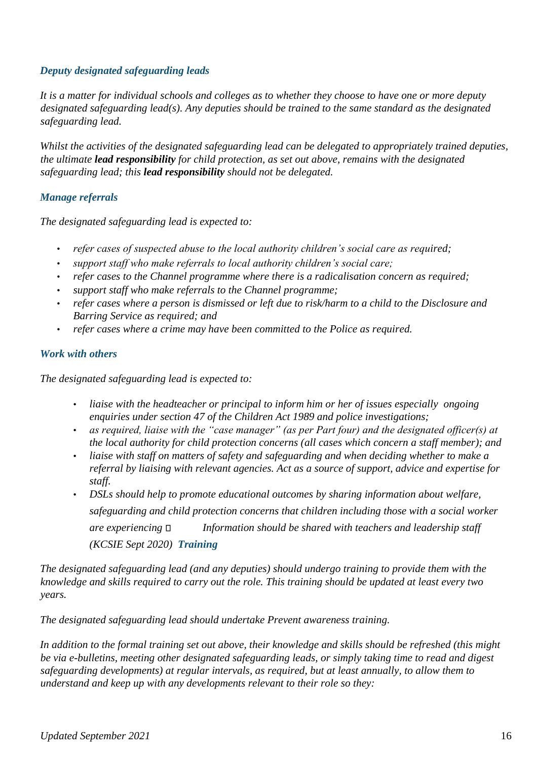## *Deputy designated safeguarding leads*

*It is a matter for individual schools and colleges as to whether they choose to have one or more deputy designated safeguarding lead(s). Any deputies should be trained to the same standard as the designated safeguarding lead.* 

*Whilst the activities of the designated safeguarding lead can be delegated to appropriately trained deputies, the ultimate lead responsibility for child protection, as set out above, remains with the designated safeguarding lead; this lead responsibility should not be delegated.* 

## *Manage referrals*

*The designated safeguarding lead is expected to:* 

- *refer cases of suspected abuse to the local authority children's social care as required;*
- *support staff who make referrals to local authority children's social care;*
- *refer cases to the Channel programme where there is a radicalisation concern as required;*
- *support staff who make referrals to the Channel programme;*
- *refer cases where a person is dismissed or left due to risk/harm to a child to the Disclosure and Barring Service as required; and*
- *refer cases where a crime may have been committed to the Police as required.*

## *Work with others*

*The designated safeguarding lead is expected to:* 

- *liaise with the headteacher or principal to inform him or her of issues especially ongoing enquiries under section 47 of the Children Act 1989 and police investigations;*
- *as required, liaise with the "case manager" (as per Part four) and the designated officer(s) at the local authority for child protection concerns (all cases which concern a staff member); and*
- *liaise with staff on matters of safety and safeguarding and when deciding whether to make a referral by liaising with relevant agencies. Act as a source of support, advice and expertise for staff.*
- *DSLs should help to promote educational outcomes by sharing information about welfare, safeguarding and child protection concerns that children including those with a social worker are experiencing Information should be shared with teachers and leadership staff (KCSIE Sept 2020) Training*

*The designated safeguarding lead (and any deputies) should undergo training to provide them with the knowledge and skills required to carry out the role. This training should be updated at least every two years.* 

*The designated safeguarding lead should undertake Prevent awareness training.* 

*In addition to the formal training set out above, their knowledge and skills should be refreshed (this might be via e-bulletins, meeting other designated safeguarding leads, or simply taking time to read and digest safeguarding developments) at regular intervals, as required, but at least annually, to allow them to understand and keep up with any developments relevant to their role so they:*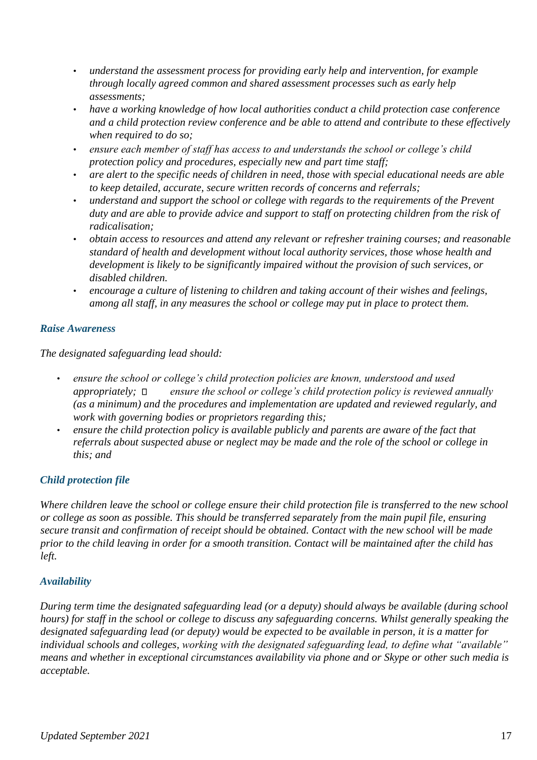- *understand the assessment process for providing early help and intervention, for example through locally agreed common and shared assessment processes such as early help assessments;*
- *have a working knowledge of how local authorities conduct a child protection case conference and a child protection review conference and be able to attend and contribute to these effectively when required to do so;*
- *ensure each member of staff has access to and understands the school or college's child protection policy and procedures, especially new and part time staff;*
- *are alert to the specific needs of children in need, those with special educational needs are able to keep detailed, accurate, secure written records of concerns and referrals;*
- *understand and support the school or college with regards to the requirements of the Prevent duty and are able to provide advice and support to staff on protecting children from the risk of radicalisation;*
- *obtain access to resources and attend any relevant or refresher training courses; and reasonable standard of health and development without local authority services, those whose health and development is likely to be significantly impaired without the provision of such services, or disabled children.*
- *encourage a culture of listening to children and taking account of their wishes and feelings, among all staff, in any measures the school or college may put in place to protect them.*

# *Raise Awareness*

*The designated safeguarding lead should:* 

- *ensure the school or college's child protection policies are known, understood and used appropriately;* □ ensure the school or college's child protection policy is reviewed annually *(as a minimum) and the procedures and implementation are updated and reviewed regularly, and work with governing bodies or proprietors regarding this;*
- *ensure the child protection policy is available publicly and parents are aware of the fact that referrals about suspected abuse or neglect may be made and the role of the school or college in this; and*

# *Child protection file*

*Where children leave the school or college ensure their child protection file is transferred to the new school or college as soon as possible. This should be transferred separately from the main pupil file, ensuring secure transit and confirmation of receipt should be obtained. Contact with the new school will be made prior to the child leaving in order for a smooth transition. Contact will be maintained after the child has left.* 

# *Availability*

*During term time the designated safeguarding lead (or a deputy) should always be available (during school hours) for staff in the school or college to discuss any safeguarding concerns. Whilst generally speaking the designated safeguarding lead (or deputy) would be expected to be available in person, it is a matter for individual schools and colleges, working with the designated safeguarding lead, to define what "available" means and whether in exceptional circumstances availability via phone and or Skype or other such media is acceptable.*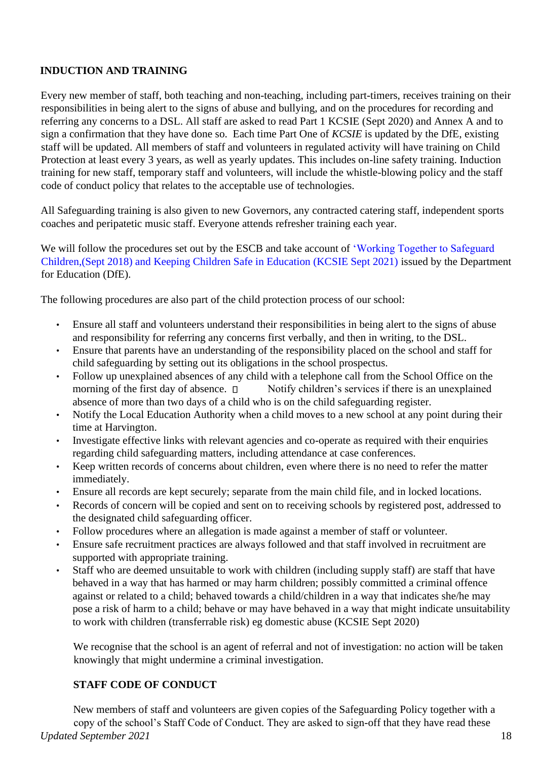# **INDUCTION AND TRAINING**

Every new member of staff, both teaching and non-teaching, including part-timers, receives training on their responsibilities in being alert to the signs of abuse and bullying, and on the procedures for recording and referring any concerns to a DSL. All staff are asked to read Part 1 KCSIE (Sept 2020) and Annex A and to sign a confirmation that they have done so. Each time Part One of *KCSIE* is updated by the DfE, existing staff will be updated. All members of staff and volunteers in regulated activity will have training on Child Protection at least every 3 years, as well as yearly updates. This includes on-line safety training. Induction training for new staff, temporary staff and volunteers, will include the whistle-blowing policy and the staff code of conduct policy that relates to the acceptable use of technologies.

All Safeguarding training is also given to new Governors, any contracted catering staff, independent sports coaches and peripatetic music staff. Everyone attends refresher training each year.

We will follow the procedures set out by the ESCB and take account of 'Working Together to Safeguard Children,(Sept 2018) and Keeping Children Safe in Education (KCSIE Sept 2021) issued by the Department for Education (DfE).

The following procedures are also part of the child protection process of our school:

- Ensure all staff and volunteers understand their responsibilities in being alert to the signs of abuse and responsibility for referring any concerns first verbally, and then in writing, to the DSL.
- Ensure that parents have an understanding of the responsibility placed on the school and staff for child safeguarding by setting out its obligations in the school prospectus.
- Follow up unexplained absences of any child with a telephone call from the School Office on the morning of the first day of absence.  $\Box$  Notify children's services if there is an unexplained absence of more than two days of a child who is on the child safeguarding register.
- Notify the Local Education Authority when a child moves to a new school at any point during their time at Harvington.
- Investigate effective links with relevant agencies and co-operate as required with their enquiries regarding child safeguarding matters, including attendance at case conferences.
- Keep written records of concerns about children, even where there is no need to refer the matter immediately.
- Ensure all records are kept securely; separate from the main child file, and in locked locations.
- Records of concern will be copied and sent on to receiving schools by registered post, addressed to the designated child safeguarding officer.
- Follow procedures where an allegation is made against a member of staff or volunteer.
- Ensure safe recruitment practices are always followed and that staff involved in recruitment are supported with appropriate training.
- Staff who are deemed unsuitable to work with children (including supply staff) are staff that have behaved in a way that has harmed or may harm children; possibly committed a criminal offence against or related to a child; behaved towards a child/children in a way that indicates she/he may pose a risk of harm to a child; behave or may have behaved in a way that might indicate unsuitability to work with children (transferrable risk) eg domestic abuse (KCSIE Sept 2020)

We recognise that the school is an agent of referral and not of investigation: no action will be taken knowingly that might undermine a criminal investigation.

# **STAFF CODE OF CONDUCT**

*Updated September 2021* 18 New members of staff and volunteers are given copies of the Safeguarding Policy together with a copy of the school's Staff Code of Conduct. They are asked to sign-off that they have read these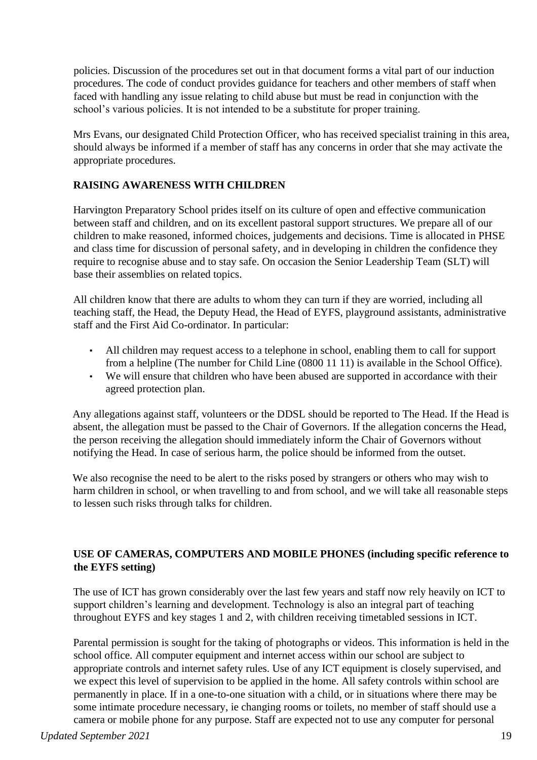policies. Discussion of the procedures set out in that document forms a vital part of our induction procedures. The code of conduct provides guidance for teachers and other members of staff when faced with handling any issue relating to child abuse but must be read in conjunction with the school's various policies. It is not intended to be a substitute for proper training.

Mrs Evans, our designated Child Protection Officer, who has received specialist training in this area, should always be informed if a member of staff has any concerns in order that she may activate the appropriate procedures.

# **RAISING AWARENESS WITH CHILDREN**

Harvington Preparatory School prides itself on its culture of open and effective communication between staff and children, and on its excellent pastoral support structures. We prepare all of our children to make reasoned, informed choices, judgements and decisions. Time is allocated in PHSE and class time for discussion of personal safety, and in developing in children the confidence they require to recognise abuse and to stay safe. On occasion the Senior Leadership Team (SLT) will base their assemblies on related topics.

All children know that there are adults to whom they can turn if they are worried, including all teaching staff, the Head, the Deputy Head, the Head of EYFS, playground assistants, administrative staff and the First Aid Co-ordinator. In particular:

- All children may request access to a telephone in school, enabling them to call for support from a helpline (The number for Child Line (0800 11 11) is available in the School Office).
- We will ensure that children who have been abused are supported in accordance with their agreed protection plan.

Any allegations against staff, volunteers or the DDSL should be reported to The Head. If the Head is absent, the allegation must be passed to the Chair of Governors. If the allegation concerns the Head, the person receiving the allegation should immediately inform the Chair of Governors without notifying the Head. In case of serious harm, the police should be informed from the outset.

We also recognise the need to be alert to the risks posed by strangers or others who may wish to harm children in school, or when travelling to and from school, and we will take all reasonable steps to lessen such risks through talks for children.

## **USE OF CAMERAS, COMPUTERS AND MOBILE PHONES (including specific reference to the EYFS setting)**

The use of ICT has grown considerably over the last few years and staff now rely heavily on ICT to support children's learning and development. Technology is also an integral part of teaching throughout EYFS and key stages 1 and 2, with children receiving timetabled sessions in ICT.

Parental permission is sought for the taking of photographs or videos. This information is held in the school office. All computer equipment and internet access within our school are subject to appropriate controls and internet safety rules. Use of any ICT equipment is closely supervised, and we expect this level of supervision to be applied in the home. All safety controls within school are permanently in place. If in a one-to-one situation with a child, or in situations where there may be some intimate procedure necessary, ie changing rooms or toilets, no member of staff should use a camera or mobile phone for any purpose. Staff are expected not to use any computer for personal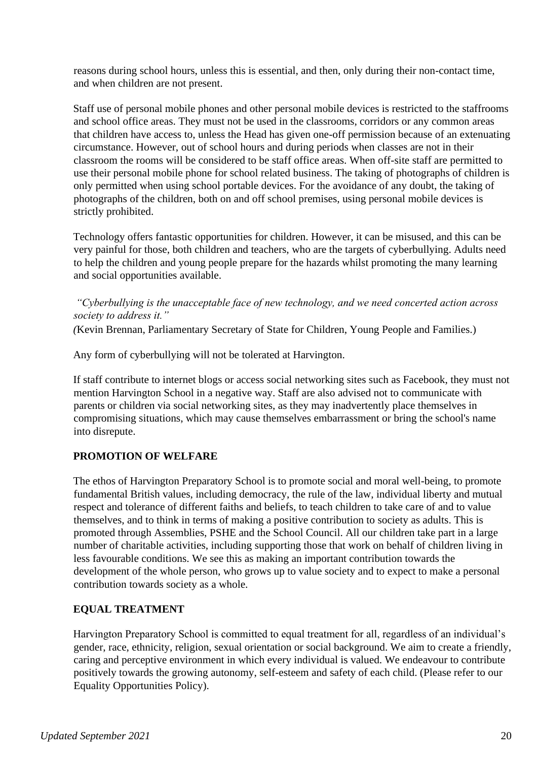reasons during school hours, unless this is essential, and then, only during their non-contact time, and when children are not present.

Staff use of personal mobile phones and other personal mobile devices is restricted to the staffrooms and school office areas. They must not be used in the classrooms, corridors or any common areas that children have access to, unless the Head has given one-off permission because of an extenuating circumstance. However, out of school hours and during periods when classes are not in their classroom the rooms will be considered to be staff office areas. When off-site staff are permitted to use their personal mobile phone for school related business. The taking of photographs of children is only permitted when using school portable devices. For the avoidance of any doubt, the taking of photographs of the children, both on and off school premises, using personal mobile devices is strictly prohibited.

Technology offers fantastic opportunities for children. However, it can be misused, and this can be very painful for those, both children and teachers, who are the targets of cyberbullying. Adults need to help the children and young people prepare for the hazards whilst promoting the many learning and social opportunities available.

*"Cyberbullying is the unacceptable face of new technology, and we need concerted action across society to address it."* 

*(*Kevin Brennan, Parliamentary Secretary of State for Children, Young People and Families.)

Any form of cyberbullying will not be tolerated at Harvington.

If staff contribute to internet blogs or access social networking sites such as Facebook, they must not mention Harvington School in a negative way. Staff are also advised not to communicate with parents or children via social networking sites, as they may inadvertently place themselves in compromising situations, which may cause themselves embarrassment or bring the school's name into disrepute.

## **PROMOTION OF WELFARE**

The ethos of Harvington Preparatory School is to promote social and moral well-being, to promote fundamental British values, including democracy, the rule of the law, individual liberty and mutual respect and tolerance of different faiths and beliefs, to teach children to take care of and to value themselves, and to think in terms of making a positive contribution to society as adults. This is promoted through Assemblies, PSHE and the School Council. All our children take part in a large number of charitable activities, including supporting those that work on behalf of children living in less favourable conditions. We see this as making an important contribution towards the development of the whole person, who grows up to value society and to expect to make a personal contribution towards society as a whole.

## **EQUAL TREATMENT**

Harvington Preparatory School is committed to equal treatment for all, regardless of an individual's gender, race, ethnicity, religion, sexual orientation or social background. We aim to create a friendly, caring and perceptive environment in which every individual is valued. We endeavour to contribute positively towards the growing autonomy, self-esteem and safety of each child. (Please refer to our Equality Opportunities Policy).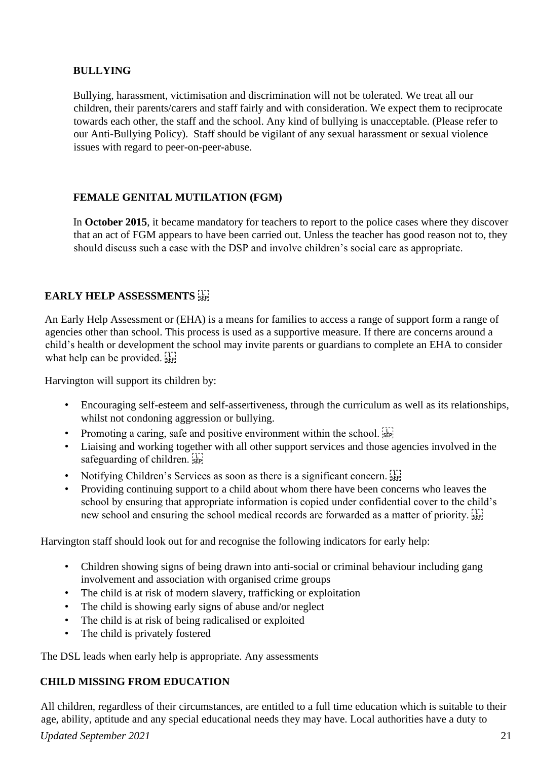## **BULLYING**

Bullying, harassment, victimisation and discrimination will not be tolerated. We treat all our children, their parents/carers and staff fairly and with consideration. We expect them to reciprocate towards each other, the staff and the school. Any kind of bullying is unacceptable. (Please refer to our Anti-Bullying Policy). Staff should be vigilant of any sexual harassment or sexual violence issues with regard to peer-on-peer-abuse.

# **FEMALE GENITAL MUTILATION (FGM)**

In **October 2015**, it became mandatory for teachers to report to the police cases where they discover that an act of FGM appears to have been carried out. Unless the teacher has good reason not to, they should discuss such a case with the DSP and involve children's social care as appropriate.

# **EARLY HELP ASSESSMENTS**

An Early Help Assessment or (EHA) is a means for families to access a range of support form a range of agencies other than school. This process is used as a supportive measure. If there are concerns around a child's health or development the school may invite parents or guardians to complete an EHA to consider what help can be provided.  $\sum_{s \in P_1}$ 

Harvington will support its children by:

- Encouraging self-esteem and self-assertiveness, through the curriculum as well as its relationships, whilst not condoning aggression or bullying.
- Promoting a caring, safe and positive environment within the school.  $\overline{S_{\text{EP}}^{\text{II}}}$
- Liaising and working together with all other support services and those agencies involved in the safeguarding of children.
- Notifying Children's Services as soon as there is a significant concern.
- Providing continuing support to a child about whom there have been concerns who leaves the school by ensuring that appropriate information is copied under confidential cover to the child's new school and ensuring the school medical records are forwarded as a matter of priority.

Harvington staff should look out for and recognise the following indicators for early help:

- Children showing signs of being drawn into anti-social or criminal behaviour including gang involvement and association with organised crime groups
- The child is at risk of modern slavery, trafficking or exploitation
- The child is showing early signs of abuse and/or neglect
- The child is at risk of being radicalised or exploited
- The child is privately fostered

The DSL leads when early help is appropriate. Any assessments

# **CHILD MISSING FROM EDUCATION**

All children, regardless of their circumstances, are entitled to a full time education which is suitable to their age, ability, aptitude and any special educational needs they may have. Local authorities have a duty to

# *Updated September 2021* 21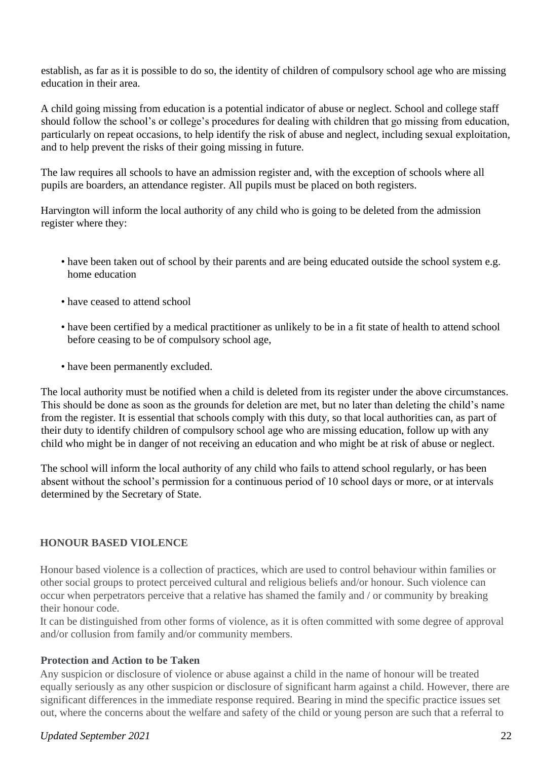establish, as far as it is possible to do so, the identity of children of compulsory school age who are missing education in their area.

A child going missing from education is a potential indicator of abuse or neglect. School and college staff should follow the school's or college's procedures for dealing with children that go missing from education, particularly on repeat occasions, to help identify the risk of abuse and neglect, including sexual exploitation, and to help prevent the risks of their going missing in future.

The law requires all schools to have an admission register and, with the exception of schools where all pupils are boarders, an attendance register. All pupils must be placed on both registers.

Harvington will inform the local authority of any child who is going to be deleted from the admission register where they:

- have been taken out of school by their parents and are being educated outside the school system e.g. home education
- have ceased to attend school
- have been certified by a medical practitioner as unlikely to be in a fit state of health to attend school before ceasing to be of compulsory school age,
- have been permanently excluded.

The local authority must be notified when a child is deleted from its register under the above circumstances. This should be done as soon as the grounds for deletion are met, but no later than deleting the child's name from the register. It is essential that schools comply with this duty, so that local authorities can, as part of their duty to identify children of compulsory school age who are missing education, follow up with any child who might be in danger of not receiving an education and who might be at risk of abuse or neglect.

The school will inform the local authority of any child who fails to attend school regularly, or has been absent without the school's permission for a continuous period of 10 school days or more, or at intervals determined by the Secretary of State.

## **HONOUR BASED VIOLENCE**

Honour based violence is a collection of practices, which are used to control behaviour within families or other social groups to protect perceived cultural and religious beliefs and/or honour. Such violence can occur when perpetrators perceive that a relative has shamed the family and / or community by breaking their honour code.

It can be distinguished from other forms of violence, as it is often committed with some degree of approval and/or collusion from family and/or community members.

# **Protection and Action to be Taken**

Any suspicion or disclosure of violence or abuse against a child in the name of honour will be treated equally seriously as any other suspicion or disclosure of significant harm against a child. However, there are significant differences in the immediate response required. Bearing in mind the specific practice issues set out, where the concerns about the welfare and safety of the child or young person are such that a referral to

## *Updated September 2021* 22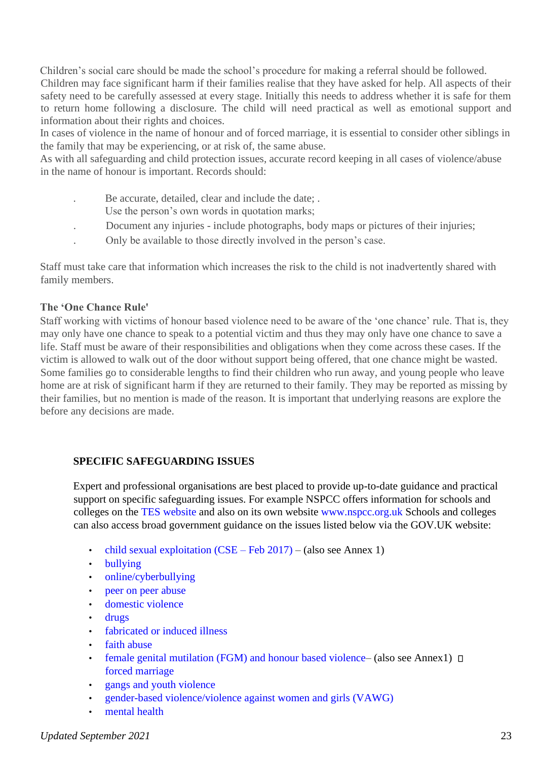Children's social care should be made the school's procedure for making a referral should be followed. Children may face significant harm if their families realise that they have asked for help. All aspects of their safety need to be carefully assessed at every stage. Initially this needs to address whether it is safe for them to return home following a disclosure. The child will need practical as well as emotional support and information about their rights and choices.

In cases of violence in the name of honour and of forced marriage, it is essential to consider other siblings in the family that may be experiencing, or at risk of, the same abuse.

As with all safeguarding and child protection issues, accurate record keeping in all cases of violence/abuse in the name of honour is important. Records should:

- . Be accurate, detailed, clear and include the date; .
	- Use the person's own words in quotation marks;
- . Document any injuries include photographs, body maps or pictures of their injuries;
- . Only be available to those directly involved in the person's case.

Staff must take care that information which increases the risk to the child is not inadvertently shared with family members.

## **The 'One Chance Rule'**

Staff working with victims of honour based violence need to be aware of the 'one chance' rule. That is, they may only have one chance to speak to a potential victim and thus they may only have one chance to save a life. Staff must be aware of their responsibilities and obligations when they come across these cases. If the victim is allowed to walk out of the door without support being offered, that one chance might be wasted. Some families go to considerable lengths to find their children who run away, and young people who leave home are at risk of significant harm if they are returned to their family. They may be reported as missing by their families, but no mention is made of the reason. It is important that underlying reasons are explore the before any decisions are made.

# **SPECIFIC SAFEGUARDING ISSUES**

Expert and professional organisations are best placed to provide up-to-date guidance and practical support on specific safeguarding issues. For example NSPCC offers information for schools and colleges on the TES website and also on its own website www.nspcc.org.uk Schools and colleges can also access broad government guidance on the issues listed below via the GOV.UK website:

- child sexual exploitation (CSE Feb 2017) (also see Annex 1)
- bullying
- online/cyberbullying
- peer on peer abuse
- domestic violence
- drugs
- fabricated or induced illness
- faith abuse
- female genital mutilation (FGM) and honour based violence– (also see Annex1)  $\Box$ forced marriage
- gangs and youth violence
- gender-based violence/violence against women and girls (VAWG)
- mental health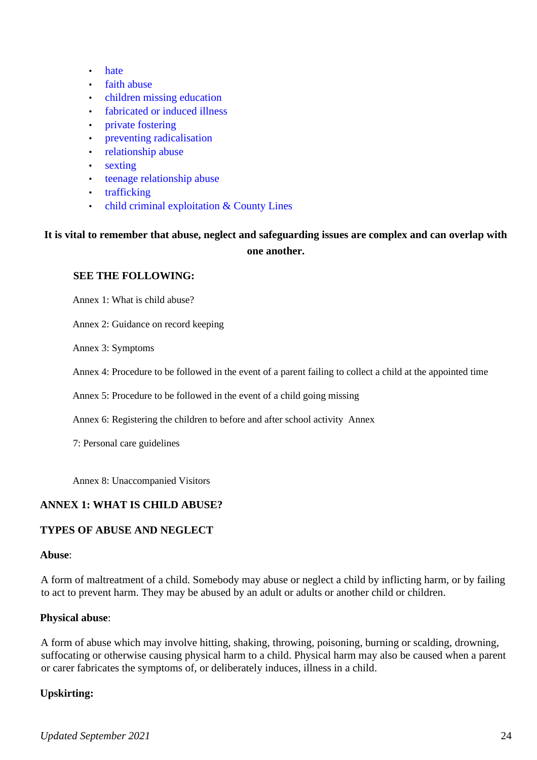- hate
- faith abuse
- children missing education
- fabricated or induced illness
- private fostering
- preventing radicalisation
- relationship abuse
- sexting
- teenage relationship abuse
- trafficking
- child criminal exploitation & County Lines

# **It is vital to remember that abuse, neglect and safeguarding issues are complex and can overlap with one another.**

#### **SEE THE FOLLOWING:**

Annex 1: What is child abuse?

Annex 2: Guidance on record keeping

Annex 3: Symptoms

Annex 4: Procedure to be followed in the event of a parent failing to collect a child at the appointed time

Annex 5: Procedure to be followed in the event of a child going missing

Annex 6: Registering the children to before and after school activity Annex

7: Personal care guidelines

Annex 8: Unaccompanied Visitors

## **ANNEX 1: WHAT IS CHILD ABUSE?**

## **TYPES OF ABUSE AND NEGLECT**

#### **Abuse**:

A form of maltreatment of a child. Somebody may abuse or neglect a child by inflicting harm, or by failing to act to prevent harm. They may be abused by an adult or adults or another child or children.

## **Physical abuse**:

A form of abuse which may involve hitting, shaking, throwing, poisoning, burning or scalding, drowning, suffocating or otherwise causing physical harm to a child. Physical harm may also be caused when a parent or carer fabricates the symptoms of, or deliberately induces, illness in a child.

## **Upskirting:**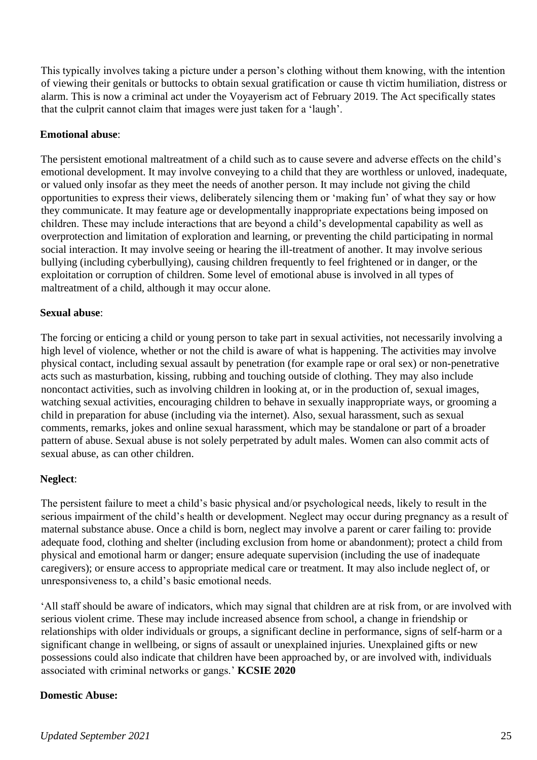This typically involves taking a picture under a person's clothing without them knowing, with the intention of viewing their genitals or buttocks to obtain sexual gratification or cause th victim humiliation, distress or alarm. This is now a criminal act under the Voyayerism act of February 2019. The Act specifically states that the culprit cannot claim that images were just taken for a 'laugh'.

#### **Emotional abuse**:

The persistent emotional maltreatment of a child such as to cause severe and adverse effects on the child's emotional development. It may involve conveying to a child that they are worthless or unloved, inadequate, or valued only insofar as they meet the needs of another person. It may include not giving the child opportunities to express their views, deliberately silencing them or 'making fun' of what they say or how they communicate. It may feature age or developmentally inappropriate expectations being imposed on children. These may include interactions that are beyond a child's developmental capability as well as overprotection and limitation of exploration and learning, or preventing the child participating in normal social interaction. It may involve seeing or hearing the ill-treatment of another. It may involve serious bullying (including cyberbullying), causing children frequently to feel frightened or in danger, or the exploitation or corruption of children. Some level of emotional abuse is involved in all types of maltreatment of a child, although it may occur alone.

#### **Sexual abuse**:

The forcing or enticing a child or young person to take part in sexual activities, not necessarily involving a high level of violence, whether or not the child is aware of what is happening. The activities may involve physical contact, including sexual assault by penetration (for example rape or oral sex) or non-penetrative acts such as masturbation, kissing, rubbing and touching outside of clothing. They may also include noncontact activities, such as involving children in looking at, or in the production of, sexual images, watching sexual activities, encouraging children to behave in sexually inappropriate ways, or grooming a child in preparation for abuse (including via the internet). Also, sexual harassment, such as sexual comments, remarks, jokes and online sexual harassment, which may be standalone or part of a broader pattern of abuse. Sexual abuse is not solely perpetrated by adult males. Women can also commit acts of sexual abuse, as can other children.

## **Neglect**:

The persistent failure to meet a child's basic physical and/or psychological needs, likely to result in the serious impairment of the child's health or development. Neglect may occur during pregnancy as a result of maternal substance abuse. Once a child is born, neglect may involve a parent or carer failing to: provide adequate food, clothing and shelter (including exclusion from home or abandonment); protect a child from physical and emotional harm or danger; ensure adequate supervision (including the use of inadequate caregivers); or ensure access to appropriate medical care or treatment. It may also include neglect of, or unresponsiveness to, a child's basic emotional needs.

'All staff should be aware of indicators, which may signal that children are at risk from, or are involved with serious violent crime. These may include increased absence from school, a change in friendship or relationships with older individuals or groups, a significant decline in performance, signs of self-harm or a significant change in wellbeing, or signs of assault or unexplained injuries. Unexplained gifts or new possessions could also indicate that children have been approached by, or are involved with, individuals associated with criminal networks or gangs.' **KCSIE 2020** 

## **Domestic Abuse:**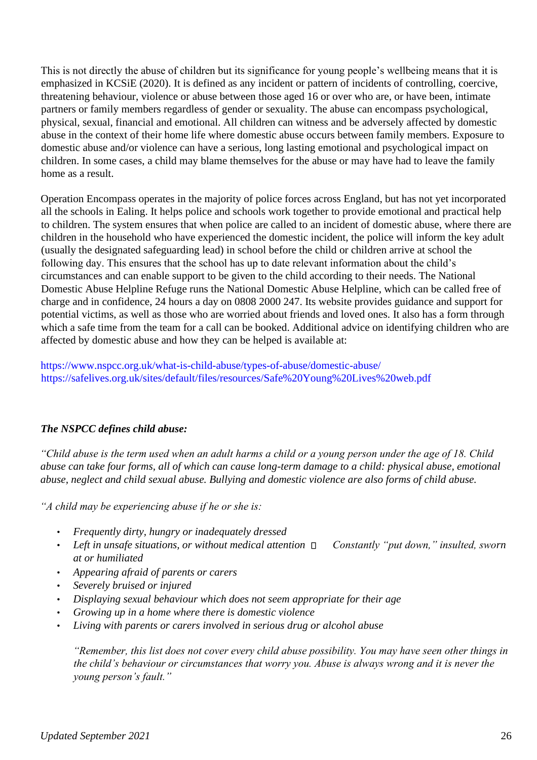This is not directly the abuse of children but its significance for young people's wellbeing means that it is emphasized in KCSiE (2020). It is defined as any incident or pattern of incidents of controlling, coercive, threatening behaviour, violence or abuse between those aged 16 or over who are, or have been, intimate partners or family members regardless of gender or sexuality. The abuse can encompass psychological, physical, sexual, financial and emotional. All children can witness and be adversely affected by domestic abuse in the context of their home life where domestic abuse occurs between family members. Exposure to domestic abuse and/or violence can have a serious, long lasting emotional and psychological impact on children. In some cases, a child may blame themselves for the abuse or may have had to leave the family home as a result.

Operation Encompass operates in the majority of police forces across England, but has not yet incorporated all the schools in Ealing. It helps police and schools work together to provide emotional and practical help to children. The system ensures that when police are called to an incident of domestic abuse, where there are children in the household who have experienced the domestic incident, the police will inform the key adult (usually the designated safeguarding lead) in school before the child or children arrive at school the following day. This ensures that the school has up to date relevant information about the child's circumstances and can enable support to be given to the child according to their needs. The National Domestic Abuse Helpline Refuge runs the National Domestic Abuse Helpline, which can be called free of charge and in confidence, 24 hours a day on 0808 2000 247. Its website provides guidance and support for potential victims, as well as those who are worried about friends and loved ones. It also has a form through which a safe time from the team for a call can be booked. Additional advice on identifying children who are affected by domestic abuse and how they can be helped is available at:

https://www.nspcc.org.uk/what-is-child-abuse/types-of-abuse/domestic-abuse/ https://safelives.org.uk/sites/default/files/resources/Safe%20Young%20Lives%20web.pdf

# *The NSPCC defines child abuse:*

*"Child abuse is the term used when an adult harms a child or a young person under the age of 18. Child abuse can take four forms, all of which can cause long-term damage to a child: physical abuse, emotional abuse, neglect and child sexual abuse. Bullying and domestic violence are also forms of child abuse.* 

*"A child may be experiencing abuse if he or she is:* 

- *Frequently dirty, hungry or inadequately dressed*
- Left in unsafe situations, or without medical attention  $\Box$  Constantly "put down," insulted, sworn *at or humiliated*
- *Appearing afraid of parents or carers*
- *Severely bruised or injured*
- *Displaying sexual behaviour which does not seem appropriate for their age*
- *Growing up in a home where there is domestic violence*
- *Living with parents or carers involved in serious drug or alcohol abuse*

*"Remember, this list does not cover every child abuse possibility. You may have seen other things in the child's behaviour or circumstances that worry you. Abuse is always wrong and it is never the young person's fault."*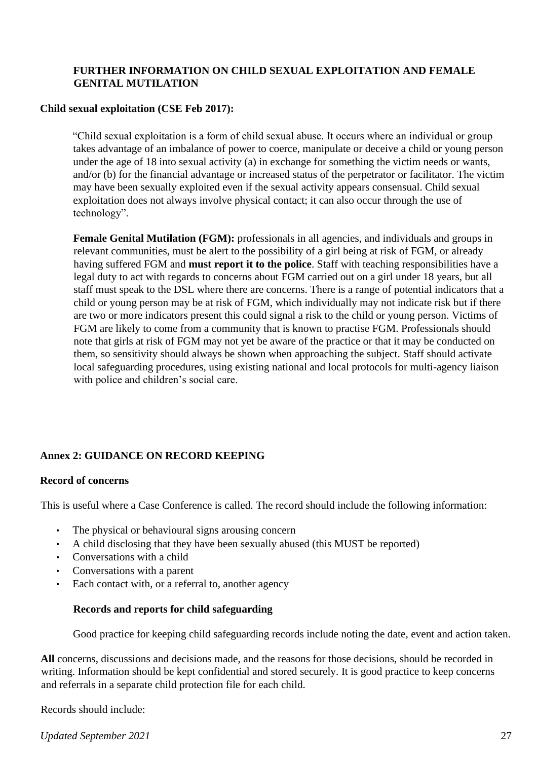## **FURTHER INFORMATION ON CHILD SEXUAL EXPLOITATION AND FEMALE GENITAL MUTILATION**

#### **Child sexual exploitation (CSE Feb 2017):**

"Child sexual exploitation is a form of child sexual abuse. It occurs where an individual or group takes advantage of an imbalance of power to coerce, manipulate or deceive a child or young person under the age of 18 into sexual activity (a) in exchange for something the victim needs or wants, and/or (b) for the financial advantage or increased status of the perpetrator or facilitator. The victim may have been sexually exploited even if the sexual activity appears consensual. Child sexual exploitation does not always involve physical contact; it can also occur through the use of technology".

**Female Genital Mutilation (FGM):** professionals in all agencies, and individuals and groups in relevant communities, must be alert to the possibility of a girl being at risk of FGM, or already having suffered FGM and **must report it to the police**. Staff with teaching responsibilities have a legal duty to act with regards to concerns about FGM carried out on a girl under 18 years, but all staff must speak to the DSL where there are concerns. There is a range of potential indicators that a child or young person may be at risk of FGM, which individually may not indicate risk but if there are two or more indicators present this could signal a risk to the child or young person. Victims of FGM are likely to come from a community that is known to practise FGM. Professionals should note that girls at risk of FGM may not yet be aware of the practice or that it may be conducted on them, so sensitivity should always be shown when approaching the subject. Staff should activate local safeguarding procedures, using existing national and local protocols for multi-agency liaison with police and children's social care.

# **Annex 2: GUIDANCE ON RECORD KEEPING**

#### **Record of concerns**

This is useful where a Case Conference is called. The record should include the following information:

- The physical or behavioural signs arousing concern
- A child disclosing that they have been sexually abused (this MUST be reported)
- Conversations with a child
- Conversations with a parent
- Each contact with, or a referral to, another agency

#### **Records and reports for child safeguarding**

Good practice for keeping child safeguarding records include noting the date, event and action taken.

**All** concerns, discussions and decisions made, and the reasons for those decisions, should be recorded in writing. Information should be kept confidential and stored securely. It is good practice to keep concerns and referrals in a separate child protection file for each child.

Records should include:

*Updated September 2021* 27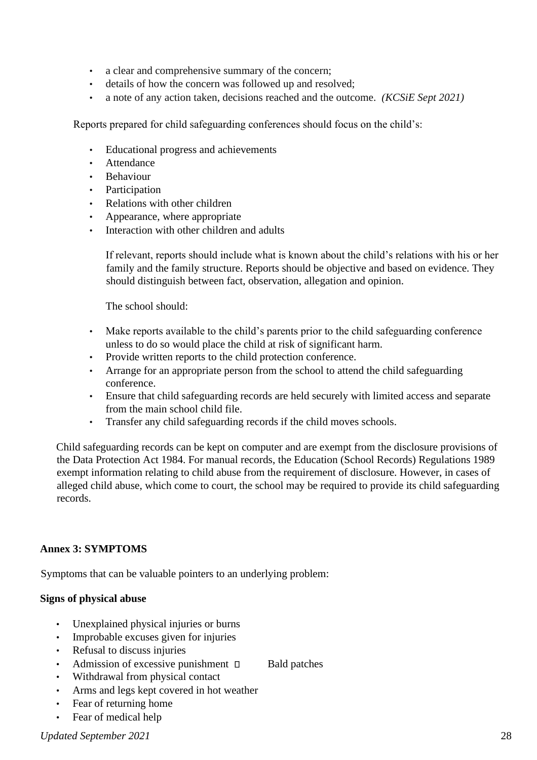- a clear and comprehensive summary of the concern;
- details of how the concern was followed up and resolved;
- a note of any action taken, decisions reached and the outcome. *(KCSiE Sept 2021)*

Reports prepared for child safeguarding conferences should focus on the child's:

- Educational progress and achievements
- **Attendance**
- **Behaviour**
- **Participation**
- Relations with other children
- Appearance, where appropriate
- Interaction with other children and adults

If relevant, reports should include what is known about the child's relations with his or her family and the family structure. Reports should be objective and based on evidence. They should distinguish between fact, observation, allegation and opinion.

The school should:

- Make reports available to the child's parents prior to the child safeguarding conference unless to do so would place the child at risk of significant harm.
- Provide written reports to the child protection conference.
- Arrange for an appropriate person from the school to attend the child safeguarding conference.
- Ensure that child safeguarding records are held securely with limited access and separate from the main school child file.
- Transfer any child safeguarding records if the child moves schools.

Child safeguarding records can be kept on computer and are exempt from the disclosure provisions of the Data Protection Act 1984. For manual records, the Education (School Records) Regulations 1989 exempt information relating to child abuse from the requirement of disclosure. However, in cases of alleged child abuse, which come to court, the school may be required to provide its child safeguarding records.

## **Annex 3: SYMPTOMS**

Symptoms that can be valuable pointers to an underlying problem:

## **Signs of physical abuse**

- Unexplained physical injuries or burns
- Improbable excuses given for injuries
- Refusal to discuss injuries
- Admission of excessive punishment  $\Box$  Bald patches
- Withdrawal from physical contact
- Arms and legs kept covered in hot weather
- Fear of returning home
- Fear of medical help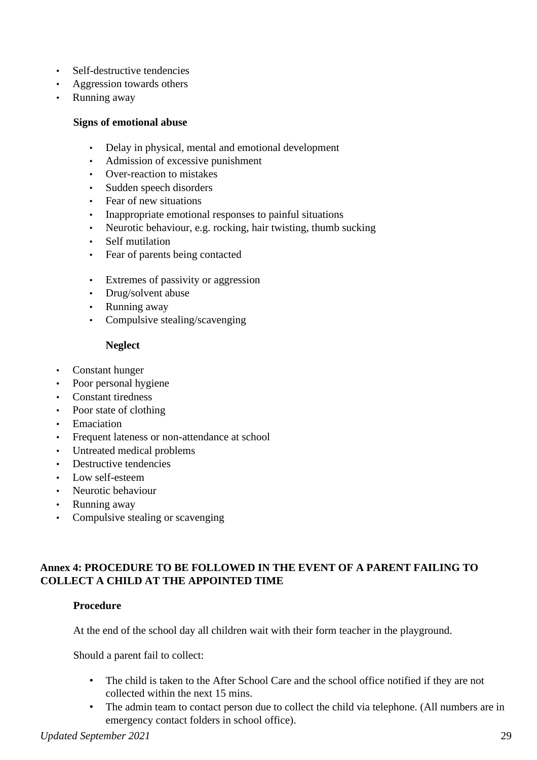- Self-destructive tendencies
- Aggression towards others
- Running away

#### **Signs of emotional abuse**

- Delay in physical, mental and emotional development
- Admission of excessive punishment
- Over-reaction to mistakes
- Sudden speech disorders
- Fear of new situations
- Inappropriate emotional responses to painful situations
- Neurotic behaviour, e.g. rocking, hair twisting, thumb sucking
- Self mutilation
- Fear of parents being contacted
- Extremes of passivity or aggression
- Drug/solvent abuse
- Running away
- Compulsive stealing/scavenging

#### **Neglect**

- Constant hunger
- Poor personal hygiene
- Constant tiredness
- Poor state of clothing
- Emaciation
- Frequent lateness or non-attendance at school
- Untreated medical problems
- Destructive tendencies
- Low self-esteem
- Neurotic behaviour
- Running away
- Compulsive stealing or scavenging

## **Annex 4: PROCEDURE TO BE FOLLOWED IN THE EVENT OF A PARENT FAILING TO COLLECT A CHILD AT THE APPOINTED TIME**

#### **Procedure**

At the end of the school day all children wait with their form teacher in the playground.

Should a parent fail to collect:

- The child is taken to the After School Care and the school office notified if they are not collected within the next 15 mins.
- The admin team to contact person due to collect the child via telephone. (All numbers are in emergency contact folders in school office).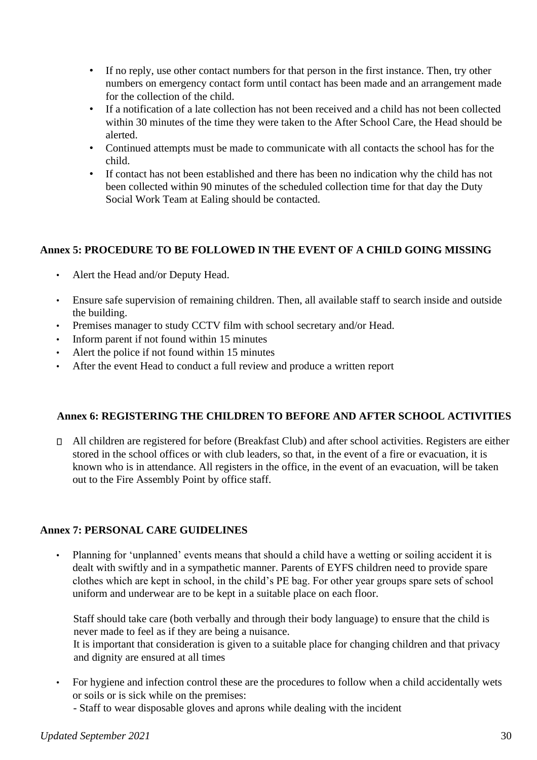- If no reply, use other contact numbers for that person in the first instance. Then, try other numbers on emergency contact form until contact has been made and an arrangement made for the collection of the child.
- If a notification of a late collection has not been received and a child has not been collected within 30 minutes of the time they were taken to the After School Care, the Head should be alerted.
- Continued attempts must be made to communicate with all contacts the school has for the child.
- If contact has not been established and there has been no indication why the child has not been collected within 90 minutes of the scheduled collection time for that day the Duty Social Work Team at Ealing should be contacted.

# **Annex 5: PROCEDURE TO BE FOLLOWED IN THE EVENT OF A CHILD GOING MISSING**

- Alert the Head and/or Deputy Head.
- Ensure safe supervision of remaining children. Then, all available staff to search inside and outside the building.
- Premises manager to study CCTV film with school secretary and/or Head.
- Inform parent if not found within 15 minutes
- Alert the police if not found within 15 minutes
- After the event Head to conduct a full review and produce a written report

## **Annex 6: REGISTERING THE CHILDREN TO BEFORE AND AFTER SCHOOL ACTIVITIES**

All children are registered for before (Breakfast Club) and after school activities. Registers are either stored in the school offices or with club leaders, so that, in the event of a fire or evacuation, it is known who is in attendance. All registers in the office, in the event of an evacuation, will be taken out to the Fire Assembly Point by office staff.

## **Annex 7: PERSONAL CARE GUIDELINES**

• Planning for 'unplanned' events means that should a child have a wetting or soiling accident it is dealt with swiftly and in a sympathetic manner. Parents of EYFS children need to provide spare clothes which are kept in school, in the child's PE bag. For other year groups spare sets of school uniform and underwear are to be kept in a suitable place on each floor.

Staff should take care (both verbally and through their body language) to ensure that the child is never made to feel as if they are being a nuisance.

It is important that consideration is given to a suitable place for changing children and that privacy and dignity are ensured at all times

• For hygiene and infection control these are the procedures to follow when a child accidentally wets or soils or is sick while on the premises:

- Staff to wear disposable gloves and aprons while dealing with the incident